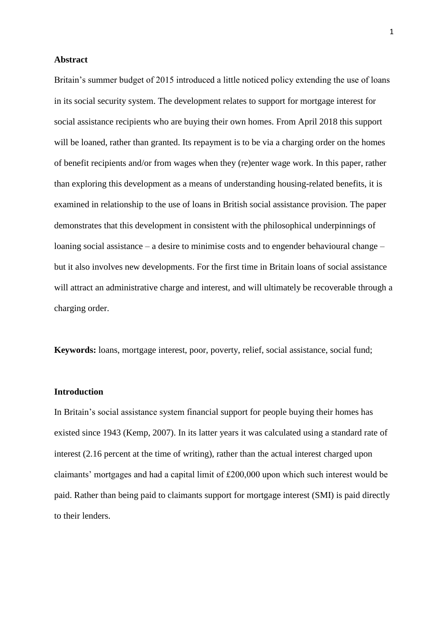## **Abstract**

Britain's summer budget of 2015 introduced a little noticed policy extending the use of loans in its social security system. The development relates to support for mortgage interest for social assistance recipients who are buying their own homes. From April 2018 this support will be loaned, rather than granted. Its repayment is to be via a charging order on the homes of benefit recipients and/or from wages when they (re)enter wage work. In this paper, rather than exploring this development as a means of understanding housing-related benefits, it is examined in relationship to the use of loans in British social assistance provision. The paper demonstrates that this development in consistent with the philosophical underpinnings of loaning social assistance – a desire to minimise costs and to engender behavioural change – but it also involves new developments. For the first time in Britain loans of social assistance will attract an administrative charge and interest, and will ultimately be recoverable through a charging order.

**Keywords:** loans, mortgage interest, poor, poverty, relief, social assistance, social fund;

# **Introduction**

In Britain's social assistance system financial support for people buying their homes has existed since 1943 (Kemp, 2007). In its latter years it was calculated using a standard rate of interest (2.16 percent at the time of writing), rather than the actual interest charged upon claimants' mortgages and had a capital limit of £200,000 upon which such interest would be paid. Rather than being paid to claimants support for mortgage interest (SMI) is paid directly to their lenders.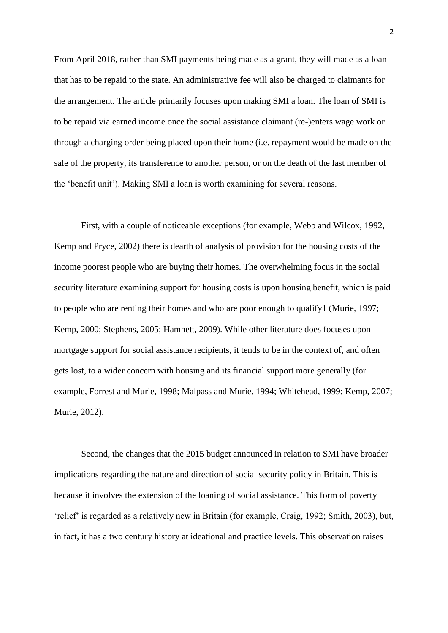From April 2018, rather than SMI payments being made as a grant, they will made as a loan that has to be repaid to the state. An administrative fee will also be charged to claimants for the arrangement. The article primarily focuses upon making SMI a loan. The loan of SMI is to be repaid via earned income once the social assistance claimant (re-)enters wage work or through a charging order being placed upon their home (i.e. repayment would be made on the sale of the property, its transference to another person, or on the death of the last member of the 'benefit unit'). Making SMI a loan is worth examining for several reasons.

First, with a couple of noticeable exceptions (for example, Webb and Wilcox, 1992, Kemp and Pryce, 2002) there is dearth of analysis of provision for the housing costs of the income poorest people who are buying their homes. The overwhelming focus in the social security literature examining support for housing costs is upon housing benefit, which is paid to people who are renting their homes and who are poor enough to qualify1 (Murie, 1997; Kemp, 2000; Stephens, 2005; Hamnett, 2009). While other literature does focuses upon mortgage support for social assistance recipients, it tends to be in the context of, and often gets lost, to a wider concern with housing and its financial support more generally (for example, Forrest and Murie, 1998; Malpass and Murie, 1994; Whitehead, 1999; Kemp, 2007; Murie, 2012).

Second, the changes that the 2015 budget announced in relation to SMI have broader implications regarding the nature and direction of social security policy in Britain. This is because it involves the extension of the loaning of social assistance. This form of poverty 'relief' is regarded as a relatively new in Britain (for example, Craig, 1992; Smith, 2003), but, in fact, it has a two century history at ideational and practice levels. This observation raises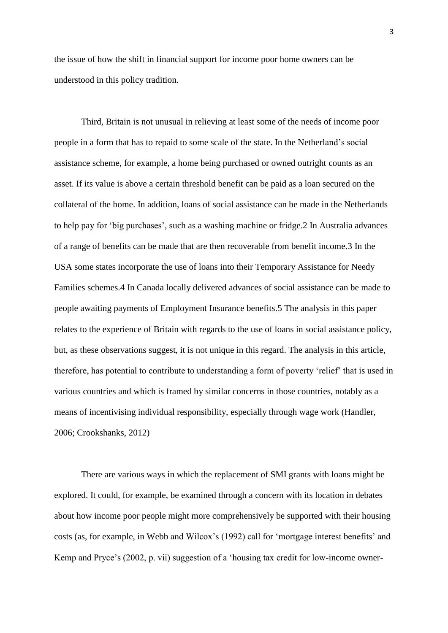the issue of how the shift in financial support for income poor home owners can be understood in this policy tradition.

Third, Britain is not unusual in relieving at least some of the needs of income poor people in a form that has to repaid to some scale of the state. In the Netherland's social assistance scheme, for example, a home being purchased or owned outright counts as an asset. If its value is above a certain threshold benefit can be paid as a loan secured on the collateral of the home. In addition, loans of social assistance can be made in the Netherlands to help pay for 'big purchases', such as a washing machine or fridge.2 In Australia advances of a range of benefits can be made that are then recoverable from benefit income.3 In the USA some states incorporate the use of loans into their Temporary Assistance for Needy Families schemes.4 In Canada locally delivered advances of social assistance can be made to people awaiting payments of Employment Insurance benefits.5 The analysis in this paper relates to the experience of Britain with regards to the use of loans in social assistance policy, but, as these observations suggest, it is not unique in this regard. The analysis in this article, therefore, has potential to contribute to understanding a form of poverty 'relief' that is used in various countries and which is framed by similar concerns in those countries, notably as a means of incentivising individual responsibility, especially through wage work (Handler, 2006; Crookshanks, 2012)

There are various ways in which the replacement of SMI grants with loans might be explored. It could, for example, be examined through a concern with its location in debates about how income poor people might more comprehensively be supported with their housing costs (as, for example, in Webb and Wilcox's (1992) call for 'mortgage interest benefits' and Kemp and Pryce's (2002, p. vii) suggestion of a 'housing tax credit for low-income owner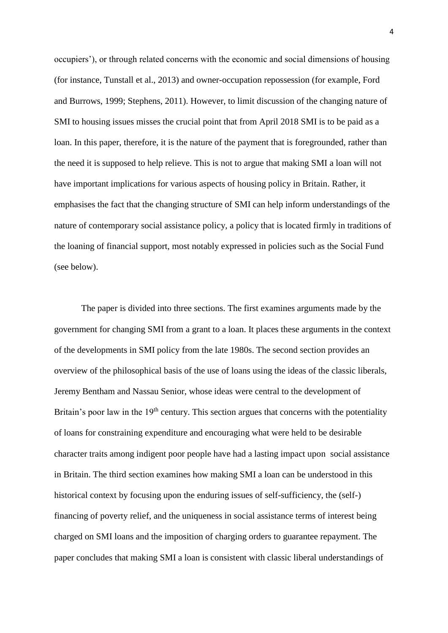occupiers'), or through related concerns with the economic and social dimensions of housing (for instance, Tunstall et al., 2013) and owner-occupation repossession (for example, Ford and Burrows, 1999; Stephens, 2011). However, to limit discussion of the changing nature of SMI to housing issues misses the crucial point that from April 2018 SMI is to be paid as a loan. In this paper, therefore, it is the nature of the payment that is foregrounded, rather than the need it is supposed to help relieve. This is not to argue that making SMI a loan will not have important implications for various aspects of housing policy in Britain. Rather, it emphasises the fact that the changing structure of SMI can help inform understandings of the nature of contemporary social assistance policy, a policy that is located firmly in traditions of the loaning of financial support, most notably expressed in policies such as the Social Fund (see below).

The paper is divided into three sections. The first examines arguments made by the government for changing SMI from a grant to a loan. It places these arguments in the context of the developments in SMI policy from the late 1980s. The second section provides an overview of the philosophical basis of the use of loans using the ideas of the classic liberals, Jeremy Bentham and Nassau Senior, whose ideas were central to the development of Britain's poor law in the  $19<sup>th</sup>$  century. This section argues that concerns with the potentiality of loans for constraining expenditure and encouraging what were held to be desirable character traits among indigent poor people have had a lasting impact upon social assistance in Britain. The third section examines how making SMI a loan can be understood in this historical context by focusing upon the enduring issues of self-sufficiency, the (self-) financing of poverty relief, and the uniqueness in social assistance terms of interest being charged on SMI loans and the imposition of charging orders to guarantee repayment. The paper concludes that making SMI a loan is consistent with classic liberal understandings of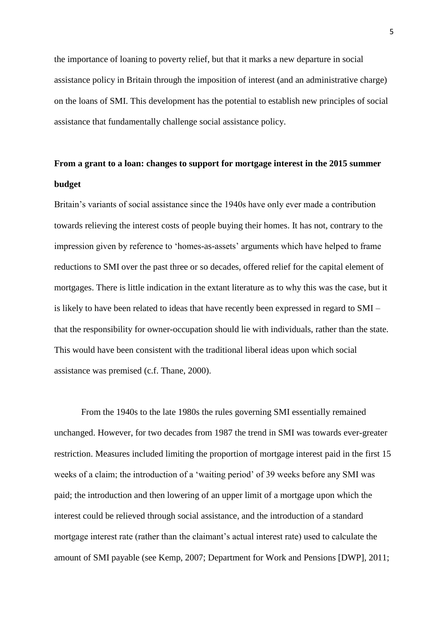the importance of loaning to poverty relief, but that it marks a new departure in social assistance policy in Britain through the imposition of interest (and an administrative charge) on the loans of SMI. This development has the potential to establish new principles of social assistance that fundamentally challenge social assistance policy.

# **From a grant to a loan: changes to support for mortgage interest in the 2015 summer budget**

Britain's variants of social assistance since the 1940s have only ever made a contribution towards relieving the interest costs of people buying their homes. It has not, contrary to the impression given by reference to 'homes-as-assets' arguments which have helped to frame reductions to SMI over the past three or so decades, offered relief for the capital element of mortgages. There is little indication in the extant literature as to why this was the case, but it is likely to have been related to ideas that have recently been expressed in regard to SMI – that the responsibility for owner-occupation should lie with individuals, rather than the state. This would have been consistent with the traditional liberal ideas upon which social assistance was premised (c.f. Thane, 2000).

From the 1940s to the late 1980s the rules governing SMI essentially remained unchanged. However, for two decades from 1987 the trend in SMI was towards ever-greater restriction. Measures included limiting the proportion of mortgage interest paid in the first 15 weeks of a claim; the introduction of a 'waiting period' of 39 weeks before any SMI was paid; the introduction and then lowering of an upper limit of a mortgage upon which the interest could be relieved through social assistance, and the introduction of a standard mortgage interest rate (rather than the claimant's actual interest rate) used to calculate the amount of SMI payable (see Kemp, 2007; Department for Work and Pensions [DWP], 2011;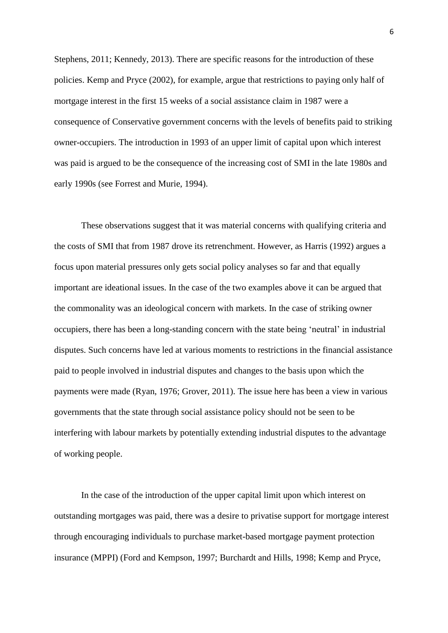Stephens, 2011; Kennedy, 2013). There are specific reasons for the introduction of these policies. Kemp and Pryce (2002), for example, argue that restrictions to paying only half of mortgage interest in the first 15 weeks of a social assistance claim in 1987 were a consequence of Conservative government concerns with the levels of benefits paid to striking owner-occupiers. The introduction in 1993 of an upper limit of capital upon which interest was paid is argued to be the consequence of the increasing cost of SMI in the late 1980s and early 1990s (see Forrest and Murie, 1994).

These observations suggest that it was material concerns with qualifying criteria and the costs of SMI that from 1987 drove its retrenchment. However, as Harris (1992) argues a focus upon material pressures only gets social policy analyses so far and that equally important are ideational issues. In the case of the two examples above it can be argued that the commonality was an ideological concern with markets. In the case of striking owner occupiers, there has been a long-standing concern with the state being 'neutral' in industrial disputes. Such concerns have led at various moments to restrictions in the financial assistance paid to people involved in industrial disputes and changes to the basis upon which the payments were made (Ryan, 1976; Grover, 2011). The issue here has been a view in various governments that the state through social assistance policy should not be seen to be interfering with labour markets by potentially extending industrial disputes to the advantage of working people.

In the case of the introduction of the upper capital limit upon which interest on outstanding mortgages was paid, there was a desire to privatise support for mortgage interest through encouraging individuals to purchase market-based mortgage payment protection insurance (MPPI) (Ford and Kempson, 1997; Burchardt and Hills, 1998; Kemp and Pryce,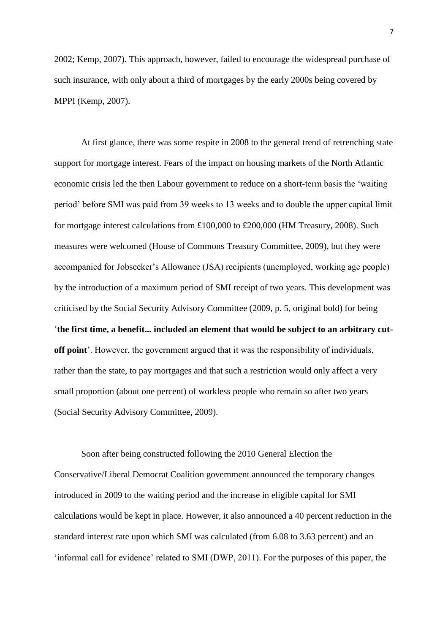2002; Kemp, 2007). This approach, however, failed to encourage the widespread purchase of such insurance, with only about a third of mortgages by the early 2000s being covered by MPPI (Kemp, 2007).

At first glance, there was some respite in 2008 to the general trend of retrenching state support for mortgage interest. Fears of the impact on housing markets of the North Atlantic economic crisis led the then Labour government to reduce on a short-term basis the 'waiting period' before SMI was paid from 39 weeks to 13 weeks and to double the upper capital limit for mortgage interest calculations from £100,000 to £200,000 (HM Treasury, 2008). Such measures were welcomed (House of Commons Treasury Committee, 2009), but they were accompanied for Jobseeker's Allowance (JSA) recipients (unemployed, working age people) by the introduction of a maximum period of SMI receipt of two years. This development was criticised by the Social Security Advisory Committee (2009, p. 5, original bold) for being '**the first time, a benefit... included an element that would be subject to an arbitrary cutoff point**'. However, the government argued that it was the responsibility of individuals, rather than the state, to pay mortgages and that such a restriction would only affect a very small proportion (about one percent) of workless people who remain so after two years (Social Security Advisory Committee, 2009).

Soon after being constructed following the 2010 General Election the Conservative/Liberal Democrat Coalition government announced the temporary changes introduced in 2009 to the waiting period and the increase in eligible capital for SMI calculations would be kept in place. However, it also announced a 40 percent reduction in the standard interest rate upon which SMI was calculated (from 6.08 to 3.63 percent) and an 'informal call for evidence' related to SMI (DWP, 2011). For the purposes of this paper, the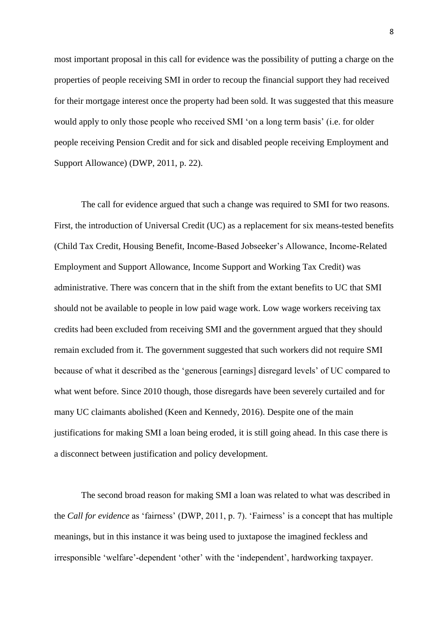most important proposal in this call for evidence was the possibility of putting a charge on the properties of people receiving SMI in order to recoup the financial support they had received for their mortgage interest once the property had been sold. It was suggested that this measure would apply to only those people who received SMI 'on a long term basis' (i.e. for older people receiving Pension Credit and for sick and disabled people receiving Employment and Support Allowance) (DWP, 2011, p. 22).

The call for evidence argued that such a change was required to SMI for two reasons. First, the introduction of Universal Credit (UC) as a replacement for six means-tested benefits (Child Tax Credit, Housing Benefit, Income-Based Jobseeker's Allowance, Income-Related Employment and Support Allowance, Income Support and Working Tax Credit) was administrative. There was concern that in the shift from the extant benefits to UC that SMI should not be available to people in low paid wage work. Low wage workers receiving tax credits had been excluded from receiving SMI and the government argued that they should remain excluded from it. The government suggested that such workers did not require SMI because of what it described as the 'generous [earnings] disregard levels' of UC compared to what went before. Since 2010 though, those disregards have been severely curtailed and for many UC claimants abolished (Keen and Kennedy, 2016). Despite one of the main justifications for making SMI a loan being eroded, it is still going ahead. In this case there is a disconnect between justification and policy development.

The second broad reason for making SMI a loan was related to what was described in the *Call for evidence* as 'fairness' (DWP, 2011, p. 7). 'Fairness' is a concept that has multiple meanings, but in this instance it was being used to juxtapose the imagined feckless and irresponsible 'welfare'-dependent 'other' with the 'independent', hardworking taxpayer.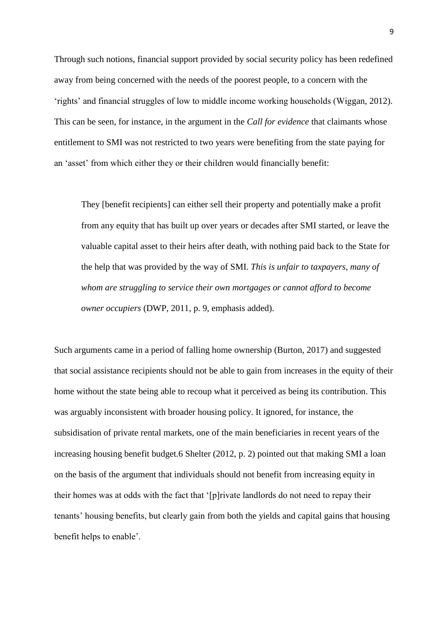Through such notions, financial support provided by social security policy has been redefined away from being concerned with the needs of the poorest people, to a concern with the 'rights' and financial struggles of low to middle income working households (Wiggan, 2012). This can be seen, for instance, in the argument in the *Call for evidence* that claimants whose entitlement to SMI was not restricted to two years were benefiting from the state paying for an 'asset' from which either they or their children would financially benefit:

They [benefit recipients] can either sell their property and potentially make a profit from any equity that has built up over years or decades after SMI started, or leave the valuable capital asset to their heirs after death, with nothing paid back to the State for the help that was provided by the way of SMI. *This is unfair to taxpayers, many of whom are struggling to service their own mortgages or cannot afford to become owner occupiers* (DWP, 2011, p. 9, emphasis added).

Such arguments came in a period of falling home ownership (Burton, 2017) and suggested that social assistance recipients should not be able to gain from increases in the equity of their home without the state being able to recoup what it perceived as being its contribution. This was arguably inconsistent with broader housing policy. It ignored, for instance, the subsidisation of private rental markets, one of the main beneficiaries in recent years of the increasing housing benefit budget.6 Shelter (2012, p. 2) pointed out that making SMI a loan on the basis of the argument that individuals should not benefit from increasing equity in their homes was at odds with the fact that '[p]rivate landlords do not need to repay their tenants' housing benefits, but clearly gain from both the yields and capital gains that housing benefit helps to enable'.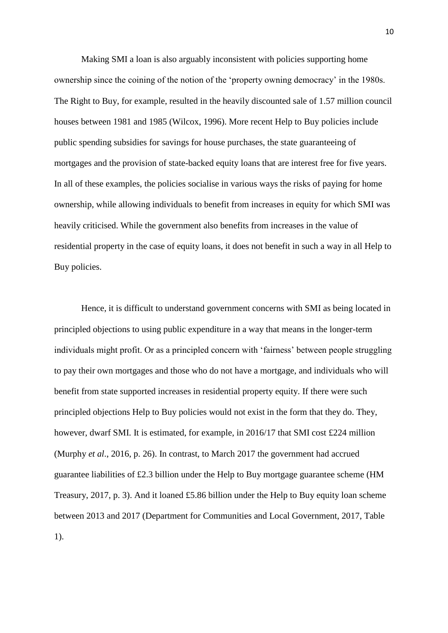Making SMI a loan is also arguably inconsistent with policies supporting home ownership since the coining of the notion of the 'property owning democracy' in the 1980s. The Right to Buy, for example, resulted in the heavily discounted sale of 1.57 million council houses between 1981 and 1985 (Wilcox, 1996). More recent Help to Buy policies include public spending subsidies for savings for house purchases, the state guaranteeing of mortgages and the provision of state-backed equity loans that are interest free for five years. In all of these examples, the policies socialise in various ways the risks of paying for home ownership, while allowing individuals to benefit from increases in equity for which SMI was heavily criticised. While the government also benefits from increases in the value of residential property in the case of equity loans, it does not benefit in such a way in all Help to Buy policies.

Hence, it is difficult to understand government concerns with SMI as being located in principled objections to using public expenditure in a way that means in the longer-term individuals might profit. Or as a principled concern with 'fairness' between people struggling to pay their own mortgages and those who do not have a mortgage, and individuals who will benefit from state supported increases in residential property equity. If there were such principled objections Help to Buy policies would not exist in the form that they do. They, however, dwarf SMI. It is estimated, for example, in 2016/17 that SMI cost £224 million (Murphy *et al*., 2016, p. 26). In contrast, to March 2017 the government had accrued guarantee liabilities of £2.3 billion under the Help to Buy mortgage guarantee scheme (HM Treasury, 2017, p. 3). And it loaned £5.86 billion under the Help to Buy equity loan scheme between 2013 and 2017 (Department for Communities and Local Government, 2017, Table 1).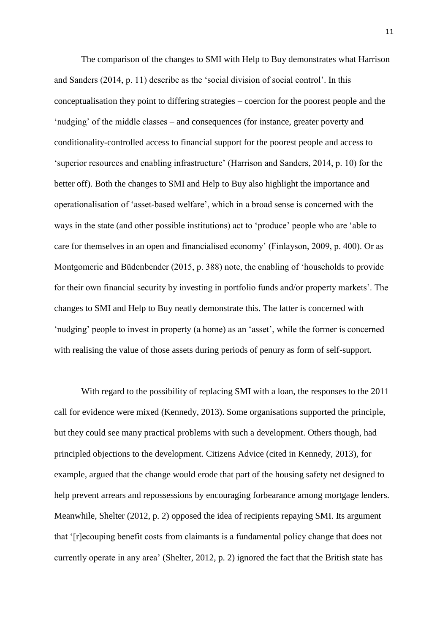The comparison of the changes to SMI with Help to Buy demonstrates what Harrison and Sanders (2014, p. 11) describe as the 'social division of social control'. In this conceptualisation they point to differing strategies – coercion for the poorest people and the 'nudging' of the middle classes – and consequences (for instance, greater poverty and conditionality-controlled access to financial support for the poorest people and access to 'superior resources and enabling infrastructure' (Harrison and Sanders, 2014, p. 10) for the better off). Both the changes to SMI and Help to Buy also highlight the importance and operationalisation of 'asset-based welfare', which in a broad sense is concerned with the ways in the state (and other possible institutions) act to 'produce' people who are 'able to care for themselves in an open and financialised economy' (Finlayson, 2009, p. 400). Or as Montgomerie and Büdenbender (2015, p. 388) note, the enabling of 'households to provide for their own financial security by investing in portfolio funds and/or property markets'. The changes to SMI and Help to Buy neatly demonstrate this. The latter is concerned with 'nudging' people to invest in property (a home) as an 'asset', while the former is concerned with realising the value of those assets during periods of penury as form of self-support.

With regard to the possibility of replacing SMI with a loan, the responses to the 2011 call for evidence were mixed (Kennedy, 2013). Some organisations supported the principle, but they could see many practical problems with such a development. Others though, had principled objections to the development. Citizens Advice (cited in Kennedy, 2013), for example, argued that the change would erode that part of the housing safety net designed to help prevent arrears and repossessions by encouraging forbearance among mortgage lenders. Meanwhile, Shelter (2012, p. 2) opposed the idea of recipients repaying SMI. Its argument that '[r]ecouping benefit costs from claimants is a fundamental policy change that does not currently operate in any area' (Shelter, 2012, p. 2) ignored the fact that the British state has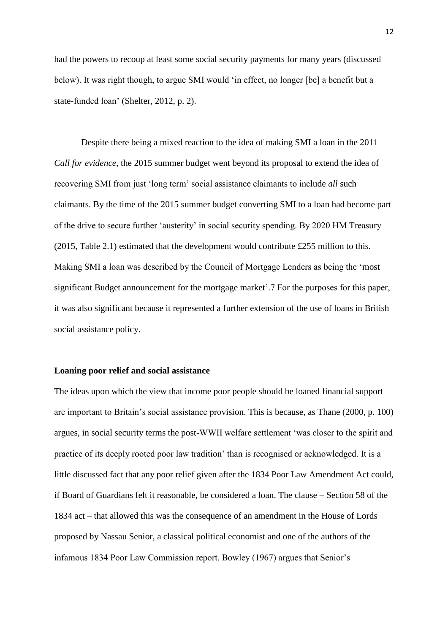had the powers to recoup at least some social security payments for many years (discussed below). It was right though, to argue SMI would 'in effect, no longer [be] a benefit but a state-funded loan' (Shelter, 2012, p. 2).

Despite there being a mixed reaction to the idea of making SMI a loan in the 2011 *Call for evidence*, the 2015 summer budget went beyond its proposal to extend the idea of recovering SMI from just 'long term' social assistance claimants to include *all* such claimants. By the time of the 2015 summer budget converting SMI to a loan had become part of the drive to secure further 'austerity' in social security spending. By 2020 HM Treasury (2015, Table 2.1) estimated that the development would contribute £255 million to this. Making SMI a loan was described by the Council of Mortgage Lenders as being the 'most significant Budget announcement for the mortgage market'.7 For the purposes for this paper, it was also significant because it represented a further extension of the use of loans in British social assistance policy.

#### **Loaning poor relief and social assistance**

The ideas upon which the view that income poor people should be loaned financial support are important to Britain's social assistance provision. This is because, as Thane (2000, p. 100) argues, in social security terms the post-WWII welfare settlement 'was closer to the spirit and practice of its deeply rooted poor law tradition' than is recognised or acknowledged. It is a little discussed fact that any poor relief given after the 1834 Poor Law Amendment Act could, if Board of Guardians felt it reasonable, be considered a loan. The clause – Section 58 of the 1834 act – that allowed this was the consequence of an amendment in the House of Lords proposed by Nassau Senior, a classical political economist and one of the authors of the infamous 1834 Poor Law Commission report. Bowley (1967) argues that Senior's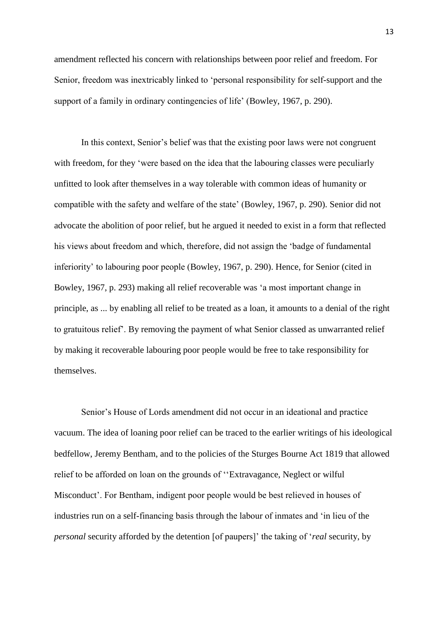amendment reflected his concern with relationships between poor relief and freedom. For Senior, freedom was inextricably linked to 'personal responsibility for self-support and the support of a family in ordinary contingencies of life' (Bowley, 1967, p. 290).

In this context, Senior's belief was that the existing poor laws were not congruent with freedom, for they 'were based on the idea that the labouring classes were peculiarly unfitted to look after themselves in a way tolerable with common ideas of humanity or compatible with the safety and welfare of the state' (Bowley, 1967, p. 290). Senior did not advocate the abolition of poor relief, but he argued it needed to exist in a form that reflected his views about freedom and which, therefore, did not assign the 'badge of fundamental inferiority' to labouring poor people (Bowley, 1967, p. 290). Hence, for Senior (cited in Bowley, 1967, p. 293) making all relief recoverable was 'a most important change in principle, as ... by enabling all relief to be treated as a loan, it amounts to a denial of the right to gratuitous relief'. By removing the payment of what Senior classed as unwarranted relief by making it recoverable labouring poor people would be free to take responsibility for themselves.

Senior's House of Lords amendment did not occur in an ideational and practice vacuum. The idea of loaning poor relief can be traced to the earlier writings of his ideological bedfellow, Jeremy Bentham, and to the policies of the Sturges Bourne Act 1819 that allowed relief to be afforded on loan on the grounds of ''Extravagance, Neglect or wilful Misconduct'. For Bentham, indigent poor people would be best relieved in houses of industries run on a self-financing basis through the labour of inmates and 'in lieu of the *personal* security afforded by the detention [of paupers]' the taking of '*real* security, by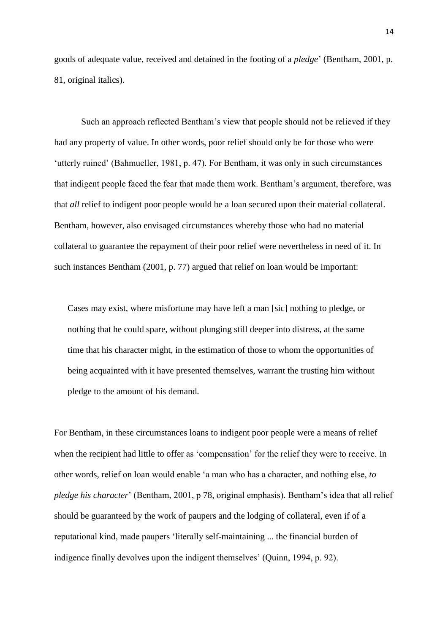goods of adequate value, received and detained in the footing of a *pledge*' (Bentham, 2001, p. 81, original italics).

Such an approach reflected Bentham's view that people should not be relieved if they had any property of value. In other words, poor relief should only be for those who were 'utterly ruined' (Bahmueller, 1981, p. 47). For Bentham, it was only in such circumstances that indigent people faced the fear that made them work. Bentham's argument, therefore, was that *all* relief to indigent poor people would be a loan secured upon their material collateral. Bentham, however, also envisaged circumstances whereby those who had no material collateral to guarantee the repayment of their poor relief were nevertheless in need of it. In such instances Bentham (2001, p. 77) argued that relief on loan would be important:

Cases may exist, where misfortune may have left a man [sic] nothing to pledge, or nothing that he could spare, without plunging still deeper into distress, at the same time that his character might, in the estimation of those to whom the opportunities of being acquainted with it have presented themselves, warrant the trusting him without pledge to the amount of his demand.

For Bentham, in these circumstances loans to indigent poor people were a means of relief when the recipient had little to offer as 'compensation' for the relief they were to receive. In other words, relief on loan would enable 'a man who has a character, and nothing else, *to pledge his character*' (Bentham, 2001, p 78, original emphasis). Bentham's idea that all relief should be guaranteed by the work of paupers and the lodging of collateral, even if of a reputational kind, made paupers 'literally self-maintaining ... the financial burden of indigence finally devolves upon the indigent themselves' (Quinn, 1994, p. 92).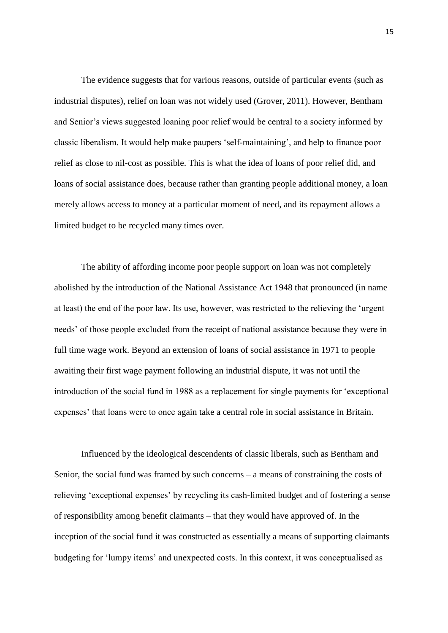The evidence suggests that for various reasons, outside of particular events (such as industrial disputes), relief on loan was not widely used (Grover, 2011). However, Bentham and Senior's views suggested loaning poor relief would be central to a society informed by classic liberalism. It would help make paupers 'self-maintaining', and help to finance poor relief as close to nil-cost as possible. This is what the idea of loans of poor relief did, and loans of social assistance does, because rather than granting people additional money, a loan merely allows access to money at a particular moment of need, and its repayment allows a limited budget to be recycled many times over.

The ability of affording income poor people support on loan was not completely abolished by the introduction of the National Assistance Act 1948 that pronounced (in name at least) the end of the poor law. Its use, however, was restricted to the relieving the 'urgent needs' of those people excluded from the receipt of national assistance because they were in full time wage work. Beyond an extension of loans of social assistance in 1971 to people awaiting their first wage payment following an industrial dispute, it was not until the introduction of the social fund in 1988 as a replacement for single payments for 'exceptional expenses' that loans were to once again take a central role in social assistance in Britain.

Influenced by the ideological descendents of classic liberals, such as Bentham and Senior, the social fund was framed by such concerns – a means of constraining the costs of relieving 'exceptional expenses' by recycling its cash-limited budget and of fostering a sense of responsibility among benefit claimants – that they would have approved of. In the inception of the social fund it was constructed as essentially a means of supporting claimants budgeting for 'lumpy items' and unexpected costs. In this context, it was conceptualised as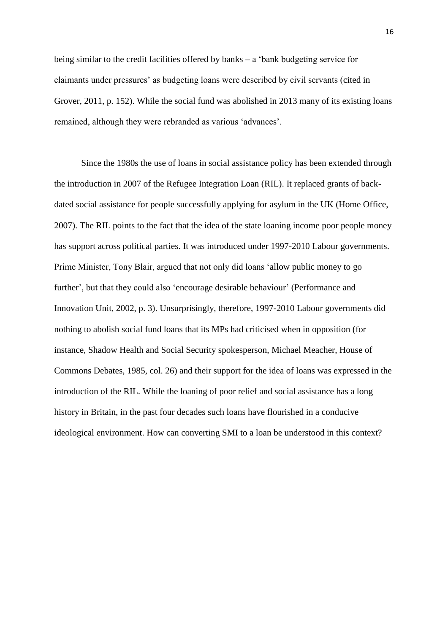being similar to the credit facilities offered by banks – a 'bank budgeting service for claimants under pressures' as budgeting loans were described by civil servants (cited in Grover, 2011, p. 152). While the social fund was abolished in 2013 many of its existing loans remained, although they were rebranded as various 'advances'.

Since the 1980s the use of loans in social assistance policy has been extended through the introduction in 2007 of the Refugee Integration Loan (RIL). It replaced grants of backdated social assistance for people successfully applying for asylum in the UK (Home Office, 2007). The RIL points to the fact that the idea of the state loaning income poor people money has support across political parties. It was introduced under 1997-2010 Labour governments. Prime Minister, Tony Blair, argued that not only did loans 'allow public money to go further', but that they could also 'encourage desirable behaviour' (Performance and Innovation Unit, 2002, p. 3). Unsurprisingly, therefore, 1997-2010 Labour governments did nothing to abolish social fund loans that its MPs had criticised when in opposition (for instance, Shadow Health and Social Security spokesperson, Michael Meacher, House of Commons Debates, 1985, col. 26) and their support for the idea of loans was expressed in the introduction of the RIL. While the loaning of poor relief and social assistance has a long history in Britain, in the past four decades such loans have flourished in a conducive ideological environment. How can converting SMI to a loan be understood in this context?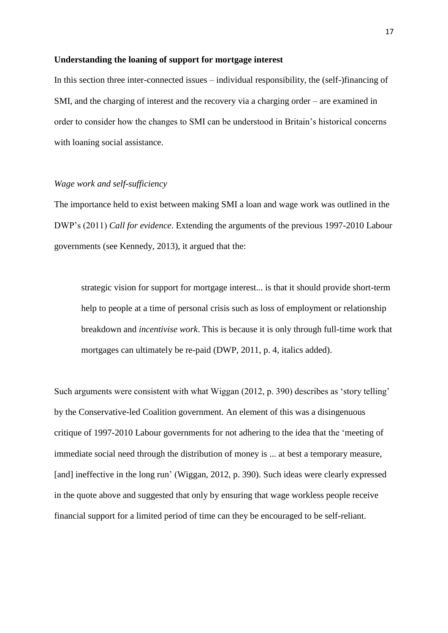## **Understanding the loaning of support for mortgage interest**

In this section three inter-connected issues – individual responsibility, the (self-)financing of SMI, and the charging of interest and the recovery via a charging order – are examined in order to consider how the changes to SMI can be understood in Britain's historical concerns with loaning social assistance.

## *Wage work and self-sufficiency*

The importance held to exist between making SMI a loan and wage work was outlined in the DWP's (2011) *Call for evidence*. Extending the arguments of the previous 1997-2010 Labour governments (see Kennedy, 2013), it argued that the:

strategic vision for support for mortgage interest... is that it should provide short-term help to people at a time of personal crisis such as loss of employment or relationship breakdown and *incentivise work*. This is because it is only through full-time work that mortgages can ultimately be re-paid (DWP, 2011, p. 4, italics added).

Such arguments were consistent with what Wiggan (2012, p. 390) describes as 'story telling' by the Conservative-led Coalition government. An element of this was a disingenuous critique of 1997-2010 Labour governments for not adhering to the idea that the 'meeting of immediate social need through the distribution of money is ... at best a temporary measure, [and] ineffective in the long run' (Wiggan, 2012, p. 390). Such ideas were clearly expressed in the quote above and suggested that only by ensuring that wage workless people receive financial support for a limited period of time can they be encouraged to be self-reliant.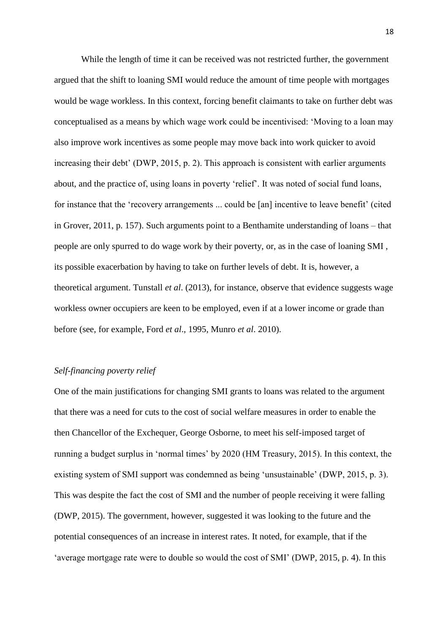While the length of time it can be received was not restricted further, the government argued that the shift to loaning SMI would reduce the amount of time people with mortgages would be wage workless. In this context, forcing benefit claimants to take on further debt was conceptualised as a means by which wage work could be incentivised: 'Moving to a loan may also improve work incentives as some people may move back into work quicker to avoid increasing their debt' (DWP, 2015, p. 2). This approach is consistent with earlier arguments about, and the practice of, using loans in poverty 'relief'. It was noted of social fund loans, for instance that the 'recovery arrangements ... could be [an] incentive to leave benefit' (cited in Grover, 2011, p. 157). Such arguments point to a Benthamite understanding of loans – that people are only spurred to do wage work by their poverty, or, as in the case of loaning SMI , its possible exacerbation by having to take on further levels of debt. It is, however, a theoretical argument. Tunstall *et al*. (2013), for instance, observe that evidence suggests wage workless owner occupiers are keen to be employed, even if at a lower income or grade than before (see, for example, Ford *et al*., 1995, Munro *et al*. 2010).

## *Self-financing poverty relief*

One of the main justifications for changing SMI grants to loans was related to the argument that there was a need for cuts to the cost of social welfare measures in order to enable the then Chancellor of the Exchequer, George Osborne, to meet his self-imposed target of running a budget surplus in 'normal times' by 2020 (HM Treasury, 2015). In this context, the existing system of SMI support was condemned as being 'unsustainable' (DWP, 2015, p. 3). This was despite the fact the cost of SMI and the number of people receiving it were falling (DWP, 2015). The government, however, suggested it was looking to the future and the potential consequences of an increase in interest rates. It noted, for example, that if the 'average mortgage rate were to double so would the cost of SMI' (DWP*,* 2015, p. 4). In this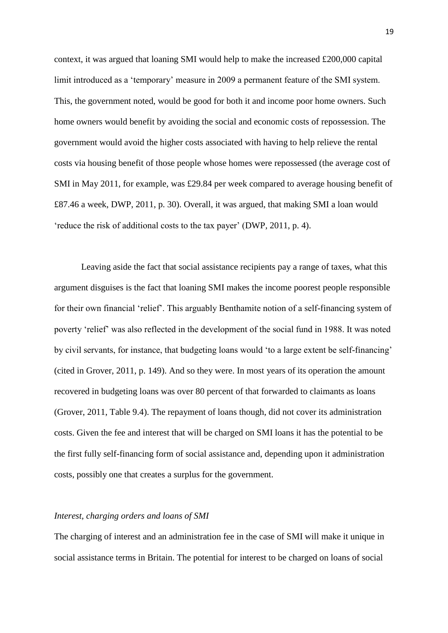context, it was argued that loaning SMI would help to make the increased  $\text{\pounds}200,000$  capital limit introduced as a 'temporary' measure in 2009 a permanent feature of the SMI system. This, the government noted, would be good for both it and income poor home owners. Such home owners would benefit by avoiding the social and economic costs of repossession. The government would avoid the higher costs associated with having to help relieve the rental costs via housing benefit of those people whose homes were repossessed (the average cost of SMI in May 2011, for example, was £29.84 per week compared to average housing benefit of £87.46 a week, DWP, 2011, p. 30). Overall, it was argued, that making SMI a loan would 'reduce the risk of additional costs to the tax payer' (DWP*,* 2011, p. 4).

Leaving aside the fact that social assistance recipients pay a range of taxes, what this argument disguises is the fact that loaning SMI makes the income poorest people responsible for their own financial 'relief'. This arguably Benthamite notion of a self-financing system of poverty 'relief' was also reflected in the development of the social fund in 1988. It was noted by civil servants, for instance, that budgeting loans would 'to a large extent be self-financing' (cited in Grover, 2011, p. 149). And so they were. In most years of its operation the amount recovered in budgeting loans was over 80 percent of that forwarded to claimants as loans (Grover, 2011, Table 9.4). The repayment of loans though, did not cover its administration costs. Given the fee and interest that will be charged on SMI loans it has the potential to be the first fully self-financing form of social assistance and, depending upon it administration costs, possibly one that creates a surplus for the government.

## *Interest, charging orders and loans of SMI*

The charging of interest and an administration fee in the case of SMI will make it unique in social assistance terms in Britain. The potential for interest to be charged on loans of social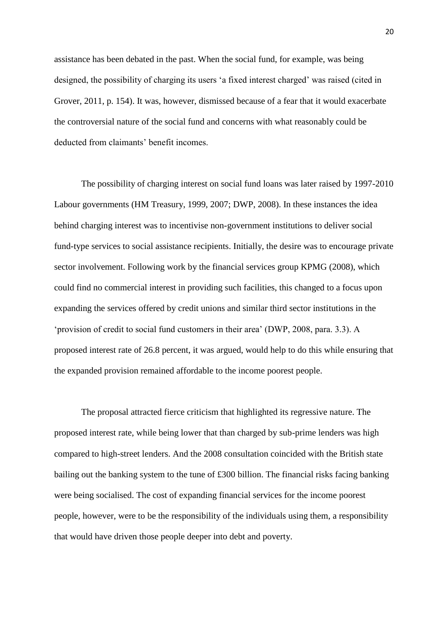assistance has been debated in the past. When the social fund, for example, was being designed, the possibility of charging its users 'a fixed interest charged' was raised (cited in Grover, 2011, p. 154). It was, however, dismissed because of a fear that it would exacerbate the controversial nature of the social fund and concerns with what reasonably could be deducted from claimants' benefit incomes.

The possibility of charging interest on social fund loans was later raised by 1997-2010 Labour governments (HM Treasury, 1999, 2007; DWP, 2008). In these instances the idea behind charging interest was to incentivise non-government institutions to deliver social fund-type services to social assistance recipients. Initially, the desire was to encourage private sector involvement. Following work by the financial services group KPMG (2008), which could find no commercial interest in providing such facilities, this changed to a focus upon expanding the services offered by credit unions and similar third sector institutions in the 'provision of credit to social fund customers in their area' (DWP, 2008, para. 3.3). A proposed interest rate of 26.8 percent, it was argued, would help to do this while ensuring that the expanded provision remained affordable to the income poorest people.

The proposal attracted fierce criticism that highlighted its regressive nature. The proposed interest rate, while being lower that than charged by sub-prime lenders was high compared to high-street lenders. And the 2008 consultation coincided with the British state bailing out the banking system to the tune of £300 billion. The financial risks facing banking were being socialised. The cost of expanding financial services for the income poorest people, however, were to be the responsibility of the individuals using them, a responsibility that would have driven those people deeper into debt and poverty.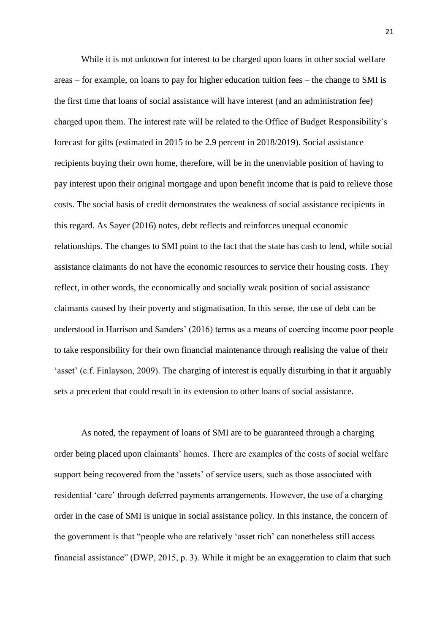While it is not unknown for interest to be charged upon loans in other social welfare areas – for example, on loans to pay for higher education tuition fees – the change to SMI is the first time that loans of social assistance will have interest (and an administration fee) charged upon them. The interest rate will be related to the Office of Budget Responsibility's forecast for gilts (estimated in 2015 to be 2.9 percent in 2018/2019). Social assistance recipients buying their own home, therefore, will be in the unenviable position of having to pay interest upon their original mortgage and upon benefit income that is paid to relieve those costs. The social basis of credit demonstrates the weakness of social assistance recipients in this regard. As Sayer (2016) notes, debt reflects and reinforces unequal economic relationships. The changes to SMI point to the fact that the state has cash to lend, while social assistance claimants do not have the economic resources to service their housing costs. They reflect, in other words, the economically and socially weak position of social assistance claimants caused by their poverty and stigmatisation. In this sense, the use of debt can be understood in Harrison and Sanders' (2016) terms as a means of coercing income poor people to take responsibility for their own financial maintenance through realising the value of their 'asset' (c.f. Finlayson, 2009). The charging of interest is equally disturbing in that it arguably sets a precedent that could result in its extension to other loans of social assistance.

As noted, the repayment of loans of SMI are to be guaranteed through a charging order being placed upon claimants' homes. There are examples of the costs of social welfare support being recovered from the 'assets' of service users, such as those associated with residential 'care' through deferred payments arrangements. However, the use of a charging order in the case of SMI is unique in social assistance policy. In this instance, the concern of the government is that "people who are relatively 'asset rich' can nonetheless still access financial assistance" (DWP, 2015, p. 3). While it might be an exaggeration to claim that such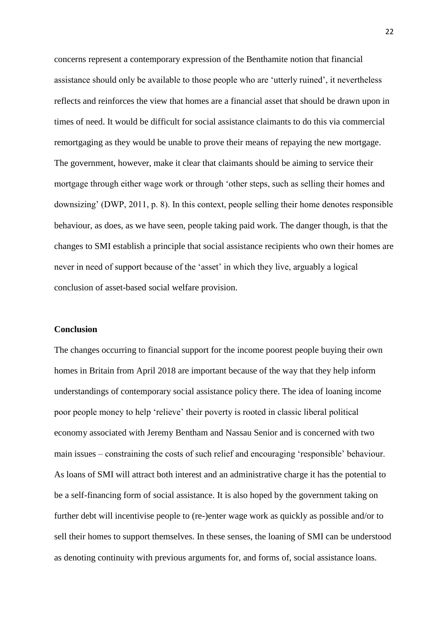concerns represent a contemporary expression of the Benthamite notion that financial assistance should only be available to those people who are 'utterly ruined', it nevertheless reflects and reinforces the view that homes are a financial asset that should be drawn upon in times of need. It would be difficult for social assistance claimants to do this via commercial remortgaging as they would be unable to prove their means of repaying the new mortgage. The government, however, make it clear that claimants should be aiming to service their mortgage through either wage work or through 'other steps, such as selling their homes and downsizing' (DWP, 2011, p. 8). In this context, people selling their home denotes responsible behaviour, as does, as we have seen, people taking paid work. The danger though, is that the changes to SMI establish a principle that social assistance recipients who own their homes are never in need of support because of the 'asset' in which they live, arguably a logical conclusion of asset-based social welfare provision.

#### **Conclusion**

The changes occurring to financial support for the income poorest people buying their own homes in Britain from April 2018 are important because of the way that they help inform understandings of contemporary social assistance policy there. The idea of loaning income poor people money to help 'relieve' their poverty is rooted in classic liberal political economy associated with Jeremy Bentham and Nassau Senior and is concerned with two main issues – constraining the costs of such relief and encouraging 'responsible' behaviour. As loans of SMI will attract both interest and an administrative charge it has the potential to be a self-financing form of social assistance. It is also hoped by the government taking on further debt will incentivise people to (re-)enter wage work as quickly as possible and/or to sell their homes to support themselves. In these senses, the loaning of SMI can be understood as denoting continuity with previous arguments for, and forms of, social assistance loans.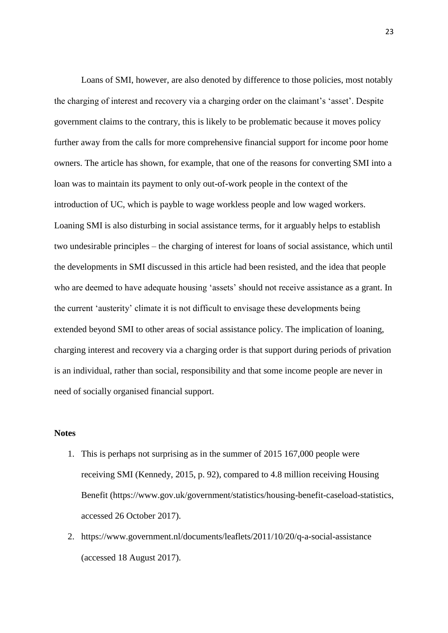Loans of SMI, however, are also denoted by difference to those policies, most notably the charging of interest and recovery via a charging order on the claimant's 'asset'. Despite government claims to the contrary, this is likely to be problematic because it moves policy further away from the calls for more comprehensive financial support for income poor home owners. The article has shown, for example, that one of the reasons for converting SMI into a loan was to maintain its payment to only out-of-work people in the context of the introduction of UC, which is payble to wage workless people and low waged workers. Loaning SMI is also disturbing in social assistance terms, for it arguably helps to establish two undesirable principles – the charging of interest for loans of social assistance, which until the developments in SMI discussed in this article had been resisted, and the idea that people who are deemed to have adequate housing 'assets' should not receive assistance as a grant. In the current 'austerity' climate it is not difficult to envisage these developments being extended beyond SMI to other areas of social assistance policy. The implication of loaning, charging interest and recovery via a charging order is that support during periods of privation is an individual, rather than social, responsibility and that some income people are never in need of socially organised financial support.

## **Notes**

- 1. This is perhaps not surprising as in the summer of 2015 167,000 people were receiving SMI (Kennedy, 2015, p. 92), compared to 4.8 million receiving Housing Benefit (https://www.gov.uk/government/statistics/housing-benefit-caseload-statistics, accessed 26 October 2017).
- 2. https://www.government.nl/documents/leaflets/2011/10/20/q-a-social-assistance (accessed 18 August 2017).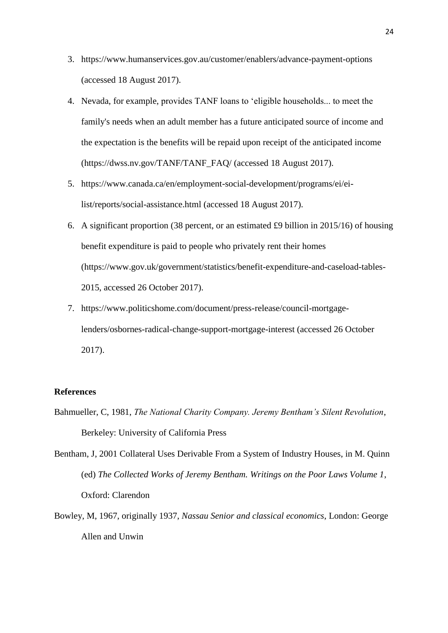- 3. https://www.humanservices.gov.au/customer/enablers/advance-payment-options (accessed 18 August 2017).
- 4. Nevada, for example, provides TANF loans to 'eligible households... to meet the family's needs when an adult member has a future anticipated source of income and the expectation is the benefits will be repaid upon receipt of the anticipated income (https://dwss.nv.gov/TANF/TANF\_FAQ/ (accessed 18 August 2017).
- 5. https://www.canada.ca/en/employment-social-development/programs/ei/eilist/reports/social-assistance.html (accessed 18 August 2017).
- 6. A significant proportion (38 percent, or an estimated £9 billion in 2015/16) of housing benefit expenditure is paid to people who privately rent their homes (https://www.gov.uk/government/statistics/benefit-expenditure-and-caseload-tables-2015, accessed 26 October 2017).
- 7. https://www.politicshome.com/document/press-release/council-mortgagelenders/osbornes-radical-change-support-mortgage-interest (accessed 26 October 2017).

# **References**

Bahmueller, C, 1981, *The National Charity Company. Jeremy Bentham's Silent Revolution*, Berkeley: University of California Press

Bentham, J, 2001 Collateral Uses Derivable From a System of Industry Houses, in M. Quinn (ed) *The Collected Works of Jeremy Bentham. Writings on the Poor Laws Volume 1*, Oxford: Clarendon

Bowley, M, 1967, originally 1937, *Nassau Senior and classical economics*, London: George Allen and Unwin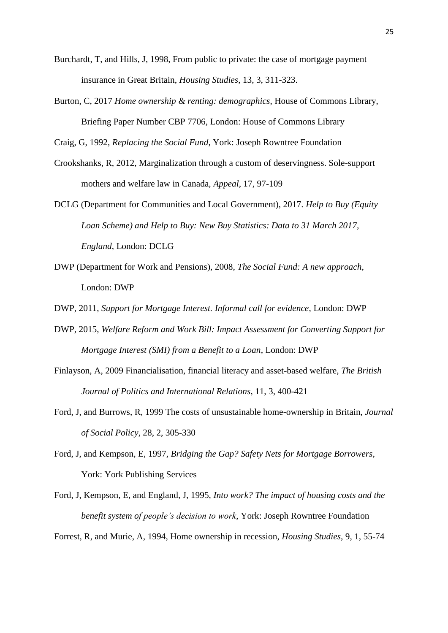- Burchardt, T, and Hills, J, 1998, From public to private: the case of mortgage payment insurance in Great Britain, *Housing Studies*, 13, 3, 311-323.
- Burton, C, 2017 *Home ownership & renting: demographics*, House of Commons Library, Briefing Paper Number CBP 7706, London: House of Commons Library

Craig, G, 1992, *Replacing the Social Fund*, York: Joseph Rowntree Foundation

- Crookshanks, R, 2012, Marginalization through a custom of deservingness. Sole-support mothers and welfare law in Canada, *Appeal*, 17, 97-109
- DCLG (Department for Communities and Local Government), 2017. *Help to Buy (Equity Loan Scheme) and Help to Buy: New Buy Statistics: Data to 31 March 2017, England*, London: DCLG
- DWP (Department for Work and Pensions), 2008, *The Social Fund: A new approach*, London: DWP
- DWP, 2011, *Support for Mortgage Interest. Informal call for evidence*, London: DWP
- DWP, 2015, *Welfare Reform and Work Bill: Impact Assessment for Converting Support for Mortgage Interest (SMI) from a Benefit to a Loan*, London: DWP
- Finlayson, A, 2009 Financialisation, financial literacy and asset-based welfare, *The British Journal of Politics and International Relations*, 11, 3, 400-421
- Ford, J, and Burrows, R, 1999 The costs of unsustainable home-ownership in Britain, *Journal of Social Policy*, 28, 2, 305-330
- Ford, J, and Kempson, E, 1997, *Bridging the Gap? Safety Nets for Mortgage Borrowers*, York: York Publishing Services

Ford, J, Kempson, E, and England, J, 1995, *Into work? The impact of housing costs and the benefit system of people's decision to work*, York: Joseph Rowntree Foundation

Forrest, R, and Murie, A, 1994, Home ownership in recession, *Housing Studies*, 9, 1, 55-74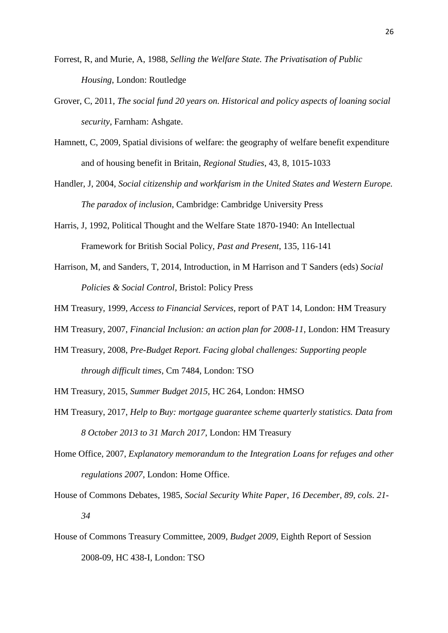- Forrest, R, and Murie, A, 1988, *Selling the Welfare State. The Privatisation of Public Housing*, London: Routledge
- Grover, C, 2011, *The social fund 20 years on. Historical and policy aspects of loaning social security*, Farnham: Ashgate.
- Hamnett, C, 2009, Spatial divisions of welfare: the geography of welfare benefit expenditure and of housing benefit in Britain, *Regional Studies*, 43, 8, 1015-1033
- Handler, J, 2004, *Social citizenship and workfarism in the United States and Western Europe. The paradox of inclusion*, Cambridge: Cambridge University Press
- Harris, J, 1992, Political Thought and the Welfare State 1870-1940: An Intellectual Framework for British Social Policy, *Past and Present*, 135, 116-141
- Harrison, M, and Sanders, T, 2014, Introduction, in M Harrison and T Sanders (eds) *Social Policies & Social Control*, Bristol: Policy Press
- HM Treasury, 1999, *Access to Financial Services*, report of PAT 14, London: HM Treasury
- HM Treasury, 2007, *Financial Inclusion: an action plan for 2008-11*, London: HM Treasury
- HM Treasury, 2008, *Pre-Budget Report. Facing global challenges: Supporting people through difficult times*, Cm 7484, London: TSO
- HM Treasury, 2015, *Summer Budget 2015*, HC 264, London: HMSO
- HM Treasury, 2017, *Help to Buy: mortgage guarantee scheme quarterly statistics. Data from 8 October 2013 to 31 March 2017*, London: HM Treasury
- Home Office, 2007, *Explanatory memorandum to the Integration Loans for refuges and other regulations 2007*, London: Home Office.
- House of Commons Debates, 1985, *Social Security White Paper*, *16 December, 89, cols. 21- 34*
- House of Commons Treasury Committee, 2009, *Budget 2009*, Eighth Report of Session 2008-09, HC 438-I, London: TSO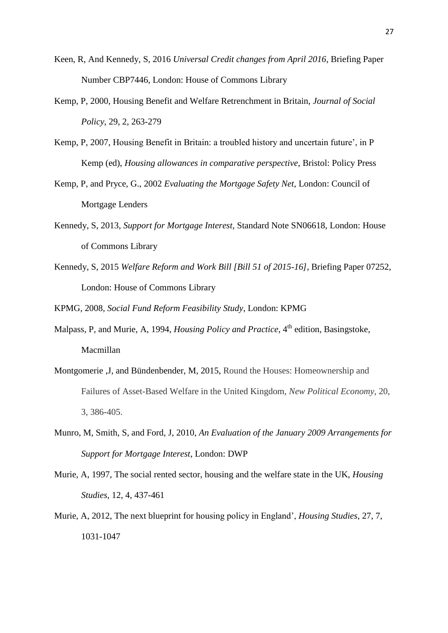- Keen, R, And Kennedy, S, 2016 *Universal Credit changes from April 2016*, Briefing Paper Number CBP7446, London: House of Commons Library
- Kemp, P, 2000, Housing Benefit and Welfare Retrenchment in Britain, *Journal of Social Policy*, 29, 2, 263-279
- Kemp, P, 2007, Housing Benefit in Britain: a troubled history and uncertain future', in P Kemp (ed), *Housing allowances in comparative perspective*, Bristol: Policy Press
- Kemp, P, and Pryce, G., 2002 *Evaluating the Mortgage Safety Net*, London: Council of Mortgage Lenders
- Kennedy, S, 2013, *Support for Mortgage Interest*, Standard Note SN06618, London: House of Commons Library
- Kennedy, S, 2015 *Welfare Reform and Work Bill [Bill 51 of 2015-16]*, Briefing Paper 07252, London: House of Commons Library

KPMG, 2008, *Social Fund Reform Feasibility Study*, London: KPMG

- Malpass, P, and Murie, A, 1994, *Housing Policy and Practice*, 4<sup>th</sup> edition, Basingstoke, Macmillan
- Montgomerie ,J, and Bündenbender, M, 2015, Round the Houses: Homeownership and Failures of Asset-Based Welfare in the United Kingdom, *New Political Economy*, 20, 3, 386-405.
- Munro, M, Smith, S, and Ford, J, 2010, *An Evaluation of the January 2009 Arrangements for Support for Mortgage Interest*, London: DWP
- Murie, A, 1997, The social rented sector, housing and the welfare state in the UK, *Housing Studies*, 12, 4, 437-461
- Murie, A, 2012, The next blueprint for housing policy in England', *Housing Studies*, 27, 7, 1031-1047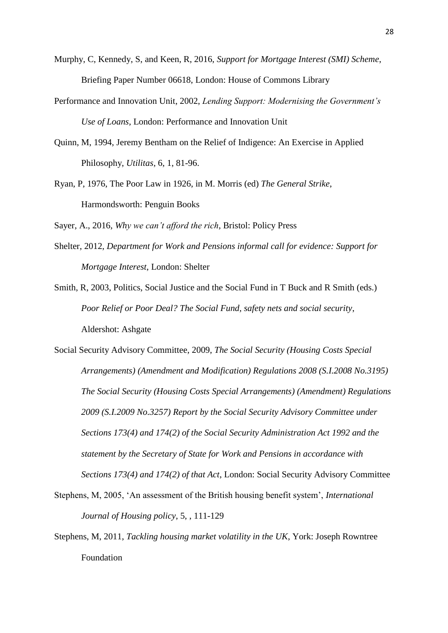- Murphy, C, Kennedy, S, and Keen, R, 2016, *Support for Mortgage Interest (SMI) Scheme*, Briefing Paper Number 06618, London: House of Commons Library
- Performance and Innovation Unit, 2002, *Lending Support: Modernising the Government's Use of Loans*, London: Performance and Innovation Unit
- Quinn, M, 1994, Jeremy Bentham on the Relief of Indigence: An Exercise in Applied Philosophy, *Utilitas*, 6, 1, 81-96.
- Ryan, P, 1976, The Poor Law in 1926, in M. Morris (ed) *The General Strike*, Harmondsworth: Penguin Books

Sayer, A., 2016, *Why we can't afford the rich*, Bristol: Policy Press

- Shelter, 2012, *Department for Work and Pensions informal call for evidence: Support for Mortgage Interest*, London: Shelter
- Smith, R, 2003, Politics, Social Justice and the Social Fund in T Buck and R Smith (eds.) *Poor Relief or Poor Deal? The Social Fund, safety nets and social security*, Aldershot: Ashgate
- Social Security Advisory Committee, 2009, *The Social Security (Housing Costs Special Arrangements) (Amendment and Modification) Regulations 2008 (S.I.2008 No.3195) The Social Security (Housing Costs Special Arrangements) (Amendment) Regulations 2009 (S.I.2009 No.3257) Report by the Social Security Advisory Committee under Sections 173(4) and 174(2) of the Social Security Administration Act 1992 and the statement by the Secretary of State for Work and Pensions in accordance with Sections 173(4) and 174(2) of that Act*, London: Social Security Advisory Committee
- Stephens, M, 2005, 'An assessment of the British housing benefit system', *International Journal of Housing policy*, 5, , 111-129
- Stephens, M, 2011, *Tackling housing market volatility in the UK*, York: Joseph Rowntree Foundation